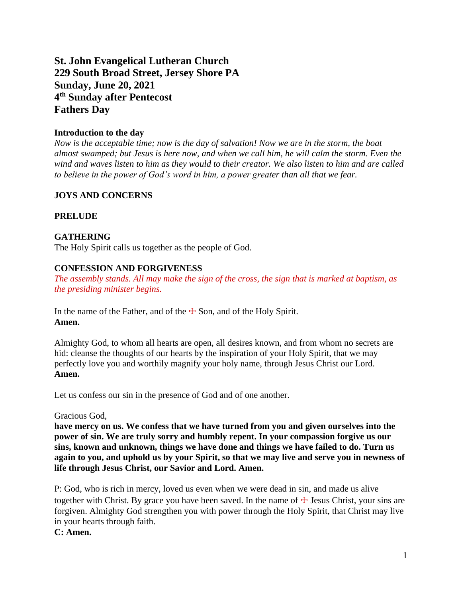# **St. John Evangelical Lutheran Church 229 South Broad Street, Jersey Shore PA Sunday, June 20, 2021 4 th Sunday after Pentecost Fathers Day**

## **Introduction to the day**

*Now is the acceptable time; now is the day of salvation! Now we are in the storm, the boat almost swamped; but Jesus is here now, and when we call him, he will calm the storm. Even the wind and waves listen to him as they would to their creator. We also listen to him and are called to believe in the power of God's word in him, a power greater than all that we fear.*

# **JOYS AND CONCERNS**

#### **PRELUDE**

# **GATHERING**

The Holy Spirit calls us together as the people of God.

#### **CONFESSION AND FORGIVENESS**

*The assembly stands. All may make the sign of the cross, the sign that is marked at baptism, as the presiding minister begins.*

In the name of the Father, and of the  $\pm$  Son, and of the Holy Spirit. **Amen.**

Almighty God, to whom all hearts are open, all desires known, and from whom no secrets are hid: cleanse the thoughts of our hearts by the inspiration of your Holy Spirit, that we may perfectly love you and worthily magnify your holy name, through Jesus Christ our Lord. **Amen.**

Let us confess our sin in the presence of God and of one another.

Gracious God,

**have mercy on us. We confess that we have turned from you and given ourselves into the power of sin. We are truly sorry and humbly repent. In your compassion forgive us our sins, known and unknown, things we have done and things we have failed to do. Turn us again to you, and uphold us by your Spirit, so that we may live and serve you in newness of life through Jesus Christ, our Savior and Lord. Amen.**

P: God, who is rich in mercy, loved us even when we were dead in sin, and made us alive together with Christ. By grace you have been saved. In the name of  $\pm$  Jesus Christ, your sins are forgiven. Almighty God strengthen you with power through the Holy Spirit, that Christ may live in your hearts through faith.

**C: Amen.**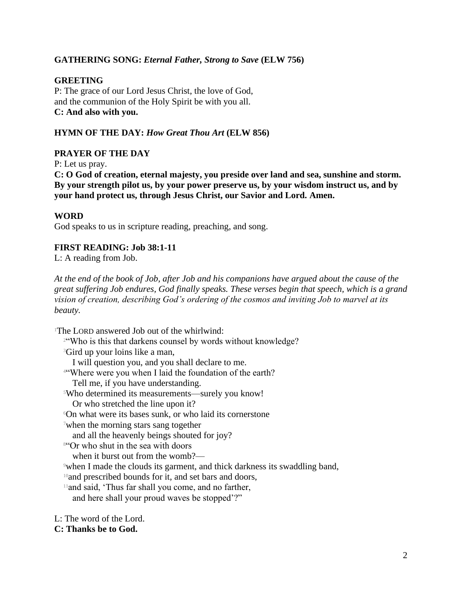#### **GATHERING SONG:** *Eternal Father, Strong to Save* **(ELW 756)**

#### **GREETING**

P: The grace of our Lord Jesus Christ, the love of God, and the communion of the Holy Spirit be with you all. **C: And also with you.**

#### **HYMN OF THE DAY:** *How Great Thou Art* **(ELW 856)**

#### **PRAYER OF THE DAY**

P: Let us pray.

**C: O God of creation, eternal majesty, you preside over land and sea, sunshine and storm. By your strength pilot us, by your power preserve us, by your wisdom instruct us, and by your hand protect us, through Jesus Christ, our Savior and Lord. Amen.**

#### **WORD**

God speaks to us in scripture reading, preaching, and song.

#### **FIRST READING: Job 38:1-11**

L: A reading from Job.

*At the end of the book of Job, after Job and his companions have argued about the cause of the great suffering Job endures, God finally speaks. These verses begin that speech, which is a grand vision of creation, describing God's ordering of the cosmos and inviting Job to marvel at its beauty.*

<sup>1</sup>The LORD answered Job out of the whirlwind: <sup>2"</sup>Who is this that darkens counsel by words without knowledge? <sup>3</sup>Gird up your loins like a man, I will question you, and you shall declare to me. <sup>4</sup>"Where were you when I laid the foundation of the earth? Tell me, if you have understanding. <sup>5</sup>Who determined its measurements—surely you know! Or who stretched the line upon it? <sup>6</sup>On what were its bases sunk, or who laid its cornerstone <sup>7</sup>when the morning stars sang together and all the heavenly beings shouted for joy? <sup>8"</sup>Or who shut in the sea with doors when it burst out from the womb?— <sup>9</sup>when I made the clouds its garment, and thick darkness its swaddling band, <sup>10</sup>and prescribed bounds for it, and set bars and doors, <sup>11</sup>and said, 'Thus far shall you come, and no farther, and here shall your proud waves be stopped'?" L: The word of the Lord. **C: Thanks be to God.**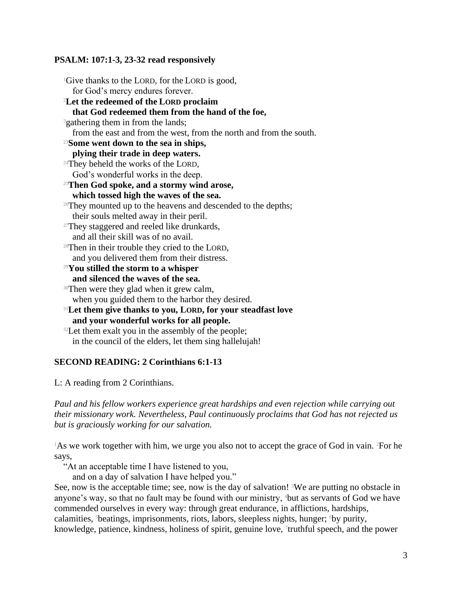#### **PSALM: 107:1-3, 23-32 read responsively**

<sup>1</sup>Give thanks to the LORD, for the LORD is good, for God's mercy endures forever. <sup>2</sup>**Let the redeemed of the LORD proclaim that God redeemed them from the hand of the foe,** <sup>3</sup>gathering them in from the lands; from the east and from the west, from the north and from the south. <sup>23</sup>**Some went down to the sea in ships, plying their trade in deep waters.** <sup>24</sup>They beheld the works of the LORD, God's wonderful works in the deep. <sup>25</sup>**Then God spoke, and a stormy wind arose, which tossed high the waves of the sea.** <sup>26</sup>They mounted up to the heavens and descended to the depths; their souls melted away in their peril.  $27$ They staggered and reeled like drunkards, and all their skill was of no avail. <sup>28</sup>Then in their trouble they cried to the LORD, and you delivered them from their distress. <sup>29</sup>**You stilled the storm to a whisper and silenced the waves of the sea.** <sup>30</sup>Then were they glad when it grew calm, when you guided them to the harbor they desired. <sup>31</sup>**Let them give thanks to you, LORD, for your steadfast love and your wonderful works for all people.** <sup>32</sup>Let them exalt you in the assembly of the people;

#### in the council of the elders, let them sing hallelujah!

#### **SECOND READING: 2 Corinthians 6:1-13**

L: A reading from 2 Corinthians.

*Paul and his fellow workers experience great hardships and even rejection while carrying out their missionary work. Nevertheless, Paul continuously proclaims that God has not rejected us but is graciously working for our salvation.*

 $1$ As we work together with him, we urge you also not to accept the grace of God in vain. <sup>2</sup>For he says,

"At an acceptable time I have listened to you,

and on a day of salvation I have helped you."

See, now is the acceptable time; see, now is the day of salvation! <sup>3</sup>We are putting no obstacle in anyone's way, so that no fault may be found with our ministry, <sup>4</sup>but as servants of God we have commended ourselves in every way: through great endurance, in afflictions, hardships, calamities, <sup>5</sup>beatings, imprisonments, riots, labors, sleepless nights, hunger; <sup>6</sup>by purity, knowledge, patience, kindness, holiness of spirit, genuine love, <sup>7</sup>truthful speech, and the power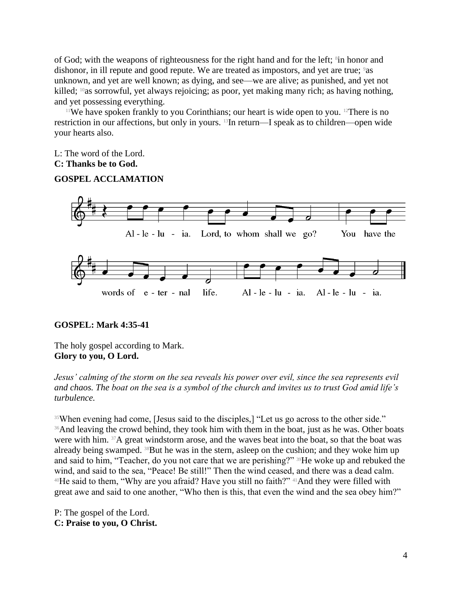of God; with the weapons of righteousness for the right hand and for the left; <sup>8</sup>in honor and dishonor, in ill repute and good repute. We are treated as impostors, and yet are true; <sup>9</sup>as unknown, and yet are well known; as dying, and see—we are alive; as punished, and yet not killed; <sup>10</sup>as sorrowful, yet always rejoicing; as poor, yet making many rich; as having nothing, and yet possessing everything.

<sup>11</sup>We have spoken frankly to you Corinthians; our heart is wide open to you. <sup>12</sup>There is no restriction in our affections, but only in yours. 13In return—I speak as to children—open wide your hearts also.

L: The word of the Lord.

#### **C: Thanks be to God.**

#### **GOSPEL ACCLAMATION**



#### **GOSPEL: Mark 4:35-41**

The holy gospel according to Mark. **Glory to you, O Lord.**

*Jesus' calming of the storm on the sea reveals his power over evil, since the sea represents evil and chaos. The boat on the sea is a symbol of the church and invites us to trust God amid life's turbulence.*

<sup>35</sup>When evening had come, [Jesus said to the disciples,] "Let us go across to the other side." <sup>36</sup>And leaving the crowd behind, they took him with them in the boat, just as he was. Other boats were with him. <sup>37</sup>A great windstorm arose, and the waves beat into the boat, so that the boat was already being swamped. 38But he was in the stern, asleep on the cushion; and they woke him up and said to him, "Teacher, do you not care that we are perishing?" <sup>39</sup>He woke up and rebuked the wind, and said to the sea, "Peace! Be still!" Then the wind ceased, and there was a dead calm.  $40$ He said to them, "Why are you afraid? Have you still no faith?"  $41$ And they were filled with great awe and said to one another, "Who then is this, that even the wind and the sea obey him?"

P: The gospel of the Lord. **C: Praise to you, O Christ.**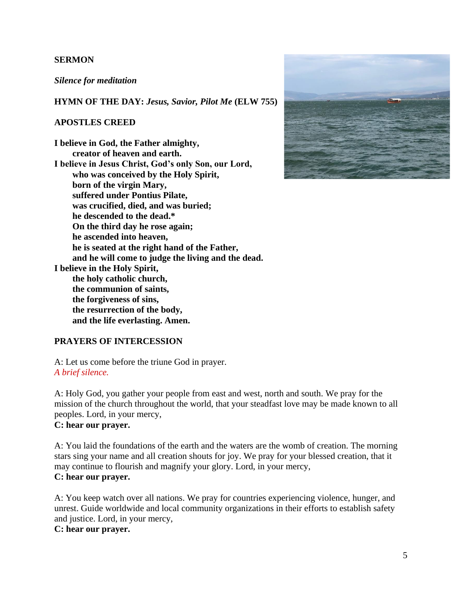#### **SERMON**

*Silence for meditation*

**HYMN OF THE DAY:** *Jesus, Savior, Pilot Me* **(ELW 755)**

#### **APOSTLES CREED**

**I believe in God, the Father almighty, creator of heaven and earth. I believe in Jesus Christ, God's only Son, our Lord, who was conceived by the Holy Spirit, born of the virgin Mary, suffered under Pontius Pilate, was crucified, died, and was buried; he descended to the dead.\* On the third day he rose again; he ascended into heaven, he is seated at the right hand of the Father, and he will come to judge the living and the dead. I believe in the Holy Spirit, the holy catholic church, the communion of saints, the forgiveness of sins, the resurrection of the body, and the life everlasting. Amen.**



#### **PRAYERS OF INTERCESSION**

A: Let us come before the triune God in prayer. *A brief silence.*

A: Holy God, you gather your people from east and west, north and south. We pray for the mission of the church throughout the world, that your steadfast love may be made known to all peoples. Lord, in your mercy, **C: hear our prayer.**

#### A: You laid the foundations of the earth and the waters are the womb of creation. The morning stars sing your name and all creation shouts for joy. We pray for your blessed creation, that it may continue to flourish and magnify your glory. Lord, in your mercy, **C: hear our prayer.**

A: You keep watch over all nations. We pray for countries experiencing violence, hunger, and unrest. Guide worldwide and local community organizations in their efforts to establish safety and justice. Lord, in your mercy,

# **C: hear our prayer.**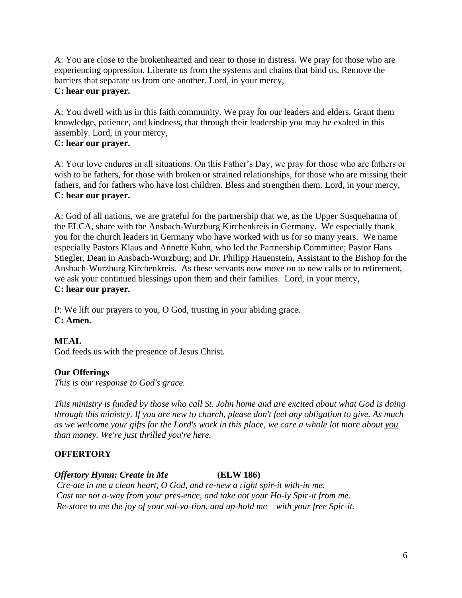A: You are close to the brokenhearted and near to those in distress. We pray for those who are experiencing oppression. Liberate us from the systems and chains that bind us. Remove the barriers that separate us from one another. Lord, in your mercy, **C: hear our prayer.**

A: You dwell with us in this faith community. We pray for our leaders and elders. Grant them knowledge, patience, and kindness, that through their leadership you may be exalted in this assembly. Lord, in your mercy,

# **C: hear our prayer.**

A: Your love endures in all situations. On this Father's Day, we pray for those who are fathers or wish to be fathers, for those with broken or strained relationships, for those who are missing their fathers, and for fathers who have lost children. Bless and strengthen them. Lord, in your mercy, **C: hear our prayer.**

A: God of all nations, we are grateful for the partnership that we, as the Upper Susquehanna of the ELCA, share with the Ansbach-Wurzburg Kirchenkreis in Germany. We especially thank you for the church leaders in Germany who have worked with us for so many years. We name especially Pastors Klaus and Annette Kuhn, who led the Partnership Committee; Pastor Hans Stiegler, Dean in Ansbach-Wurzburg; and Dr. Philipp Hauenstein, Assistant to the Bishop for the Ansbach-Wurzburg Kirchenkreis. As these servants now move on to new calls or to retirement, we ask your continued blessings upon them and their families. Lord, in your mercy, **C: hear our prayer.**

P: We lift our prayers to you, O God, trusting in your abiding grace. **C: Amen.**

# **MEAL**

God feeds us with the presence of Jesus Christ.

# **Our Offerings**

*This is our response to God's grace.*

*This ministry is funded by those who call St. John home and are excited about what God is doing through this ministry. If you are new to church, please don't feel any obligation to give. As much as we welcome your gifts for the Lord's work in this place, we care a whole lot more about you than money. We're just thrilled you're here.* 

# **OFFERTORY**

# *Offertory Hymn: Create in Me* **(ELW 186)**

*Cre-ate in me a clean heart, O God, and re-new a right spir-it with-in me. Cast me not a-way from your pres-ence, and take not your Ho-ly Spir-it from me. Re-store to me the joy of your sal-va-tion, and up-hold me with your free Spir-it.*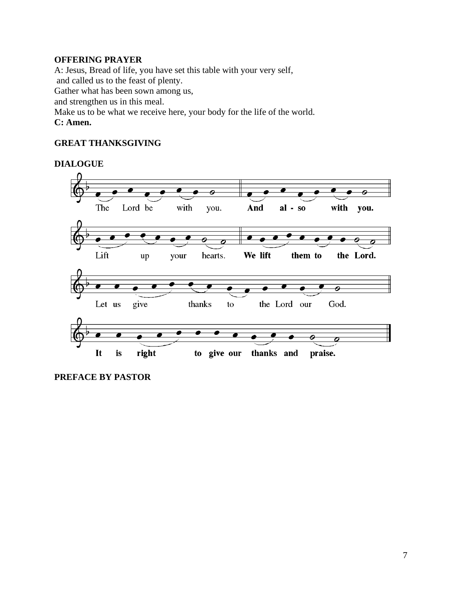# **OFFERING PRAYER**

A: Jesus, Bread of life, you have set this table with your very self,

and called us to the feast of plenty.

Gather what has been sown among us,

and strengthen us in this meal.

Make us to be what we receive here, your body for the life of the world.

#### **C: Amen.**

# **GREAT THANKSGIVING**

#### **DIALOGUE**



**PREFACE BY PASTOR**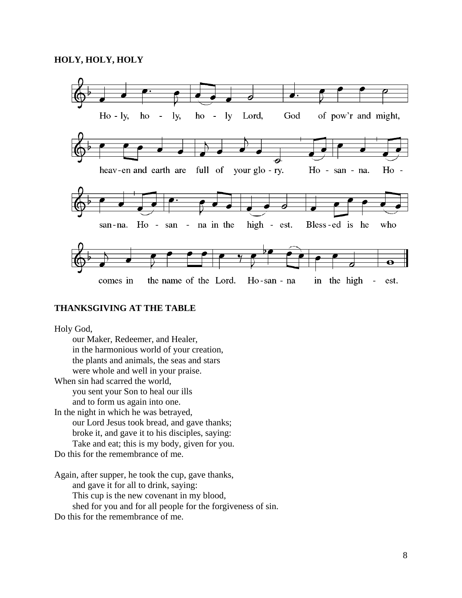

#### **THANKSGIVING AT THE TABLE**

Holy God,

our Maker, Redeemer, and Healer, in the harmonious world of your creation, the plants and animals, the seas and stars were whole and well in your praise. When sin had scarred the world, you sent your Son to heal our ills and to form us again into one. In the night in which he was betrayed, our Lord Jesus took bread, and gave thanks; broke it, and gave it to his disciples, saying: Take and eat; this is my body, given for you.

Do this for the remembrance of me.

Again, after supper, he took the cup, gave thanks, and gave it for all to drink, saying: This cup is the new covenant in my blood, shed for you and for all people for the forgiveness of sin. Do this for the remembrance of me.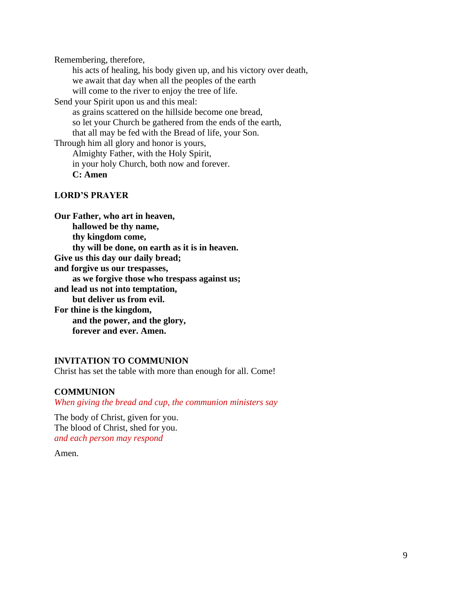Remembering, therefore,

his acts of healing, his body given up, and his victory over death, we await that day when all the peoples of the earth will come to the river to enjoy the tree of life.

Send your Spirit upon us and this meal:

as grains scattered on the hillside become one bread, so let your Church be gathered from the ends of the earth, that all may be fed with the Bread of life, your Son. Through him all glory and honor is yours,

Almighty Father, with the Holy Spirit, in your holy Church, both now and forever. **C: Amen**

#### **LORD'S PRAYER**

**Our Father, who art in heaven, hallowed be thy name, thy kingdom come, thy will be done, on earth as it is in heaven. Give us this day our daily bread; and forgive us our trespasses, as we forgive those who trespass against us; and lead us not into temptation, but deliver us from evil. For thine is the kingdom, and the power, and the glory, forever and ever. Amen.**

#### **INVITATION TO COMMUNION**

Christ has set the table with more than enough for all. Come!

# **COMMUNION**

*When giving the bread and cup, the communion ministers say*

The body of Christ, given for you. The blood of Christ, shed for you. *and each person may respond*

Amen.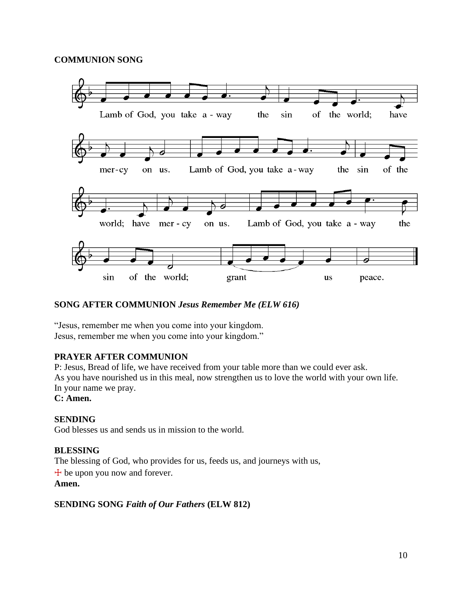## **COMMUNION SONG**



# **SONG AFTER COMMUNION** *Jesus Remember Me (ELW 616)*

"Jesus, remember me when you come into your kingdom. Jesus, remember me when you come into your kingdom."

#### **PRAYER AFTER COMMUNION**

P: Jesus, Bread of life, we have received from your table more than we could ever ask. As you have nourished us in this meal, now strengthen us to love the world with your own life. In your name we pray. **C: Amen.**

# **SENDING**

God blesses us and sends us in mission to the world.

#### **BLESSING**

The blessing of God, who provides for us, feeds us, and journeys with us,

 $+$  be upon you now and forever.

#### **Amen.**

#### **SENDING SONG** *Faith of Our Fathers* **(ELW 812)**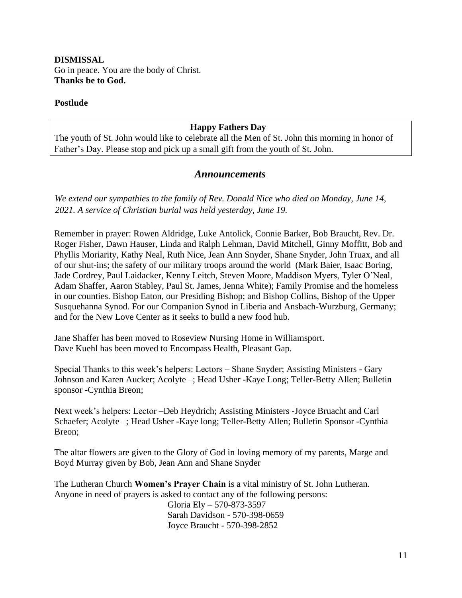# **DISMISSAL** Go in peace. You are the body of Christ. **Thanks be to God.**

#### **Postlude**

## **Happy Fathers Day**

The youth of St. John would like to celebrate all the Men of St. John this morning in honor of Father's Day. Please stop and pick up a small gift from the youth of St. John.

#### *Announcements*

*We extend our sympathies to the family of Rev. Donald Nice who died on Monday, June 14, 2021. A service of Christian burial was held yesterday, June 19.*

Remember in prayer: Rowen Aldridge, Luke Antolick, Connie Barker, Bob Braucht, Rev. Dr. Roger Fisher, Dawn Hauser, Linda and Ralph Lehman, David Mitchell, Ginny Moffitt, Bob and Phyllis Moriarity, Kathy Neal, Ruth Nice, Jean Ann Snyder, Shane Snyder, John Truax, and all of our shut-ins; the safety of our military troops around the world (Mark Baier, Isaac Boring, Jade Cordrey, Paul Laidacker, Kenny Leitch, Steven Moore, Maddison Myers, Tyler O'Neal, Adam Shaffer, Aaron Stabley, Paul St. James, Jenna White); Family Promise and the homeless in our counties. Bishop Eaton, our Presiding Bishop; and Bishop Collins, Bishop of the Upper Susquehanna Synod. For our Companion Synod in Liberia and Ansbach-Wurzburg, Germany; and for the New Love Center as it seeks to build a new food hub.

Jane Shaffer has been moved to Roseview Nursing Home in Williamsport. Dave Kuehl has been moved to Encompass Health, Pleasant Gap.

Special Thanks to this week's helpers: Lectors – Shane Snyder; Assisting Ministers - Gary Johnson and Karen Aucker; Acolyte –; Head Usher -Kaye Long; Teller-Betty Allen; Bulletin sponsor -Cynthia Breon;

Next week's helpers: Lector –Deb Heydrich; Assisting Ministers -Joyce Bruacht and Carl Schaefer; Acolyte –; Head Usher -Kaye long; Teller-Betty Allen; Bulletin Sponsor -Cynthia Breon;

The altar flowers are given to the Glory of God in loving memory of my parents, Marge and Boyd Murray given by Bob, Jean Ann and Shane Snyder

The Lutheran Church **Women's Prayer Chain** is a vital ministry of St. John Lutheran. Anyone in need of prayers is asked to contact any of the following persons:

> Gloria Ely – 570-873-3597 Sarah Davidson - 570-398-0659 Joyce Braucht - 570-398-2852